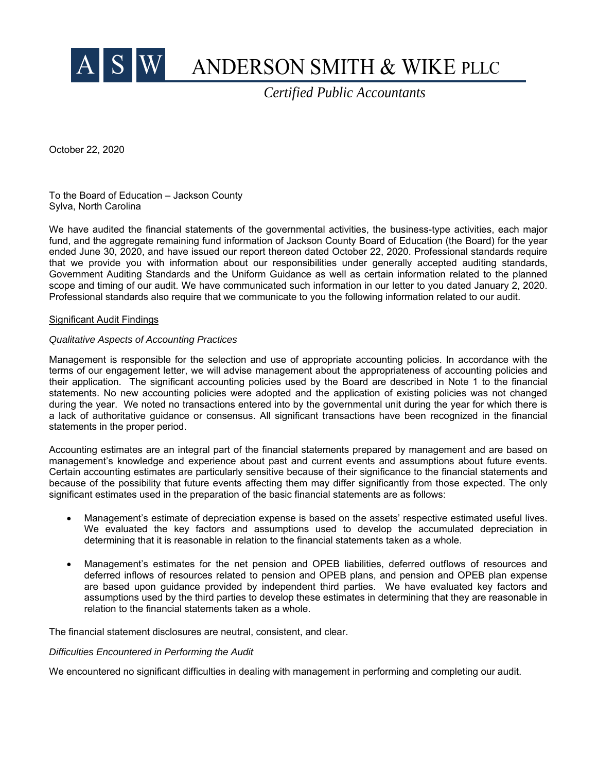

# ANDERSON SMITH & WIKE PLLC

*Certified Public Accountants*

October 22, 2020

To the Board of Education – Jackson County Sylva, North Carolina

We have audited the financial statements of the governmental activities, the business-type activities, each major fund, and the aggregate remaining fund information of Jackson County Board of Education (the Board) for the year ended June 30, 2020, and have issued our report thereon dated October 22, 2020. Professional standards require that we provide you with information about our responsibilities under generally accepted auditing standards, Government Auditing Standards and the Uniform Guidance as well as certain information related to the planned scope and timing of our audit. We have communicated such information in our letter to you dated January 2, 2020. Professional standards also require that we communicate to you the following information related to our audit.

#### Significant Audit Findings

#### *Qualitative Aspects of Accounting Practices*

Management is responsible for the selection and use of appropriate accounting policies. In accordance with the terms of our engagement letter, we will advise management about the appropriateness of accounting policies and their application. The significant accounting policies used by the Board are described in Note 1 to the financial statements. No new accounting policies were adopted and the application of existing policies was not changed during the year. We noted no transactions entered into by the governmental unit during the year for which there is a lack of authoritative guidance or consensus. All significant transactions have been recognized in the financial statements in the proper period.

Accounting estimates are an integral part of the financial statements prepared by management and are based on management's knowledge and experience about past and current events and assumptions about future events. Certain accounting estimates are particularly sensitive because of their significance to the financial statements and because of the possibility that future events affecting them may differ significantly from those expected. The only significant estimates used in the preparation of the basic financial statements are as follows:

- Management's estimate of depreciation expense is based on the assets' respective estimated useful lives. We evaluated the key factors and assumptions used to develop the accumulated depreciation in determining that it is reasonable in relation to the financial statements taken as a whole.
- Management's estimates for the net pension and OPEB liabilities, deferred outflows of resources and deferred inflows of resources related to pension and OPEB plans, and pension and OPEB plan expense are based upon guidance provided by independent third parties. We have evaluated key factors and assumptions used by the third parties to develop these estimates in determining that they are reasonable in relation to the financial statements taken as a whole.

The financial statement disclosures are neutral, consistent, and clear.

#### *Difficulties Encountered in Performing the Audit*

We encountered no significant difficulties in dealing with management in performing and completing our audit.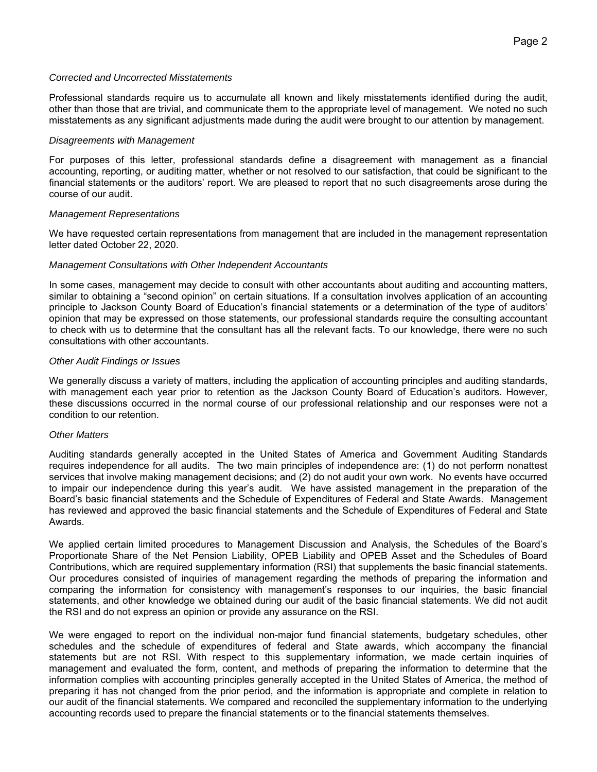## *Corrected and Uncorrected Misstatements*

Professional standards require us to accumulate all known and likely misstatements identified during the audit, other than those that are trivial, and communicate them to the appropriate level of management. We noted no such misstatements as any significant adjustments made during the audit were brought to our attention by management.

## *Disagreements with Management*

For purposes of this letter, professional standards define a disagreement with management as a financial accounting, reporting, or auditing matter, whether or not resolved to our satisfaction, that could be significant to the financial statements or the auditors' report. We are pleased to report that no such disagreements arose during the course of our audit.

# *Management Representations*

We have requested certain representations from management that are included in the management representation letter dated October 22, 2020.

# *Management Consultations with Other Independent Accountants*

In some cases, management may decide to consult with other accountants about auditing and accounting matters, similar to obtaining a "second opinion" on certain situations. If a consultation involves application of an accounting principle to Jackson County Board of Education's financial statements or a determination of the type of auditors' opinion that may be expressed on those statements, our professional standards require the consulting accountant to check with us to determine that the consultant has all the relevant facts. To our knowledge, there were no such consultations with other accountants.

# *Other Audit Findings or Issues*

We generally discuss a variety of matters, including the application of accounting principles and auditing standards, with management each year prior to retention as the Jackson County Board of Education's auditors. However, these discussions occurred in the normal course of our professional relationship and our responses were not a condition to our retention.

## *Other Matters*

Auditing standards generally accepted in the United States of America and Government Auditing Standards requires independence for all audits. The two main principles of independence are: (1) do not perform nonattest services that involve making management decisions; and (2) do not audit your own work. No events have occurred to impair our independence during this year's audit. We have assisted management in the preparation of the Board's basic financial statements and the Schedule of Expenditures of Federal and State Awards. Management has reviewed and approved the basic financial statements and the Schedule of Expenditures of Federal and State Awards.

We applied certain limited procedures to Management Discussion and Analysis, the Schedules of the Board's Proportionate Share of the Net Pension Liability, OPEB Liability and OPEB Asset and the Schedules of Board Contributions, which are required supplementary information (RSI) that supplements the basic financial statements. Our procedures consisted of inquiries of management regarding the methods of preparing the information and comparing the information for consistency with management's responses to our inquiries, the basic financial statements, and other knowledge we obtained during our audit of the basic financial statements. We did not audit the RSI and do not express an opinion or provide any assurance on the RSI.

We were engaged to report on the individual non-major fund financial statements, budgetary schedules, other schedules and the schedule of expenditures of federal and State awards, which accompany the financial statements but are not RSI. With respect to this supplementary information, we made certain inquiries of management and evaluated the form, content, and methods of preparing the information to determine that the information complies with accounting principles generally accepted in the United States of America, the method of preparing it has not changed from the prior period, and the information is appropriate and complete in relation to our audit of the financial statements. We compared and reconciled the supplementary information to the underlying accounting records used to prepare the financial statements or to the financial statements themselves.